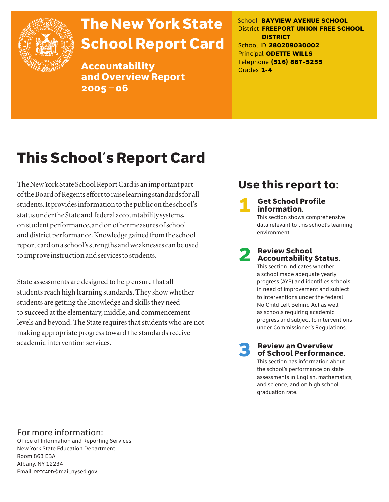

# The New York State School Report Card

Accountability and Overview Report 2005–06

School **BAYVIEW AVENUE SCHOOL** District **FREEPORT UNION FREE SCHOOL DISTRICT** School ID **280209030002** Principal **ODETTE WILLS** Telephone **(516) 867-5255** Grades **1-4**

# This School's Report Card

The New York State School Report Card is an important part of the Board of Regents effort to raise learning standards for all students. It provides information to the public on the school's status under the State and federal accountability systems, on student performance, and on other measures of school and district performance. Knowledge gained from the school report card on a school's strengths and weaknesses can be used to improve instruction and services to students.

State assessments are designed to help ensure that all students reach high learning standards. They show whether students are getting the knowledge and skills they need to succeed at the elementary, middle, and commencement levels and beyond. The State requires that students who are not making appropriate progress toward the standards receive academic intervention services.

### Use this report to:

**Get School Profile** information. This section shows comprehensive

data relevant to this school's learning environment.

# 2 Review School Accountability Status.

This section indicates whether a school made adequate yearly progress (AYP) and identifies schools in need of improvement and subject to interventions under the federal No Child Left Behind Act as well as schools requiring academic progress and subject to interventions under Commissioner's Regulations.

**Review an Overview** of School Performance.

This section has information about the school's performance on state assessments in English, mathematics, and science, and on high school graduation rate.

### For more information:

Office of Information and Reporting Services New York State Education Department Room 863 EBA Albany, NY 12234 Email: RPTCARD@mail.nysed.gov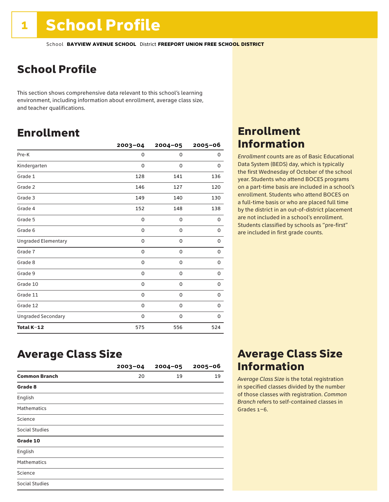### School Profile

This section shows comprehensive data relevant to this school's learning environment, including information about enrollment, average class size, and teacher qualifications.

### Enrollment

|                            | $2003 - 04$ | $2004 - 05$ | 2005-06     |
|----------------------------|-------------|-------------|-------------|
| Pre-K                      | $\Omega$    | $\Omega$    | 0           |
| Kindergarten               | $\Omega$    | $\Omega$    | 0           |
| Grade 1                    | 128         | 141         | 136         |
| Grade 2                    | 146         | 127         | 120         |
| Grade 3                    | 149         | 140         | 130         |
| Grade 4                    | 152         | 148         | 138         |
| Grade 5                    | 0           | 0           | 0           |
| Grade 6                    | 0           | 0           | 0           |
| <b>Ungraded Elementary</b> | 0           | 0           | 0           |
| Grade 7                    | 0           | $\mathbf 0$ | 0           |
| Grade 8                    | 0           | 0           | 0           |
| Grade 9                    | 0           | 0           | 0           |
| Grade 10                   | 0           | 0           | 0           |
| Grade 11                   | 0           | 0           | 0           |
| Grade 12                   | 0           | 0           | $\mathbf 0$ |
| <b>Ungraded Secondary</b>  | 0           | 0           | 0           |
| Total K-12                 | 575         | 556         | 524         |

### Enrollment Information

*Enrollment* counts are as of Basic Educational Data System (BEDS) day, which is typically the first Wednesday of October of the school year. Students who attend BOCES programs on a part-time basis are included in a school's enrollment. Students who attend BOCES on a full-time basis or who are placed full time by the district in an out-of-district placement are not included in a school's enrollment. Students classified by schools as "pre-first" are included in first grade counts.

### Average Class Size

|                      | $2003 - 04$ | $2004 - 05$ | $2005 - 06$ |
|----------------------|-------------|-------------|-------------|
| <b>Common Branch</b> | 20          | 19          | 19          |
| Grade 8              |             |             |             |
| English              |             |             |             |
| <b>Mathematics</b>   |             |             |             |
| Science              |             |             |             |
| Social Studies       |             |             |             |
| Grade 10             |             |             |             |
| English              |             |             |             |
| <b>Mathematics</b>   |             |             |             |
| Science              |             |             |             |
| Social Studies       |             |             |             |

### Average Class Size Information

*Average Class Size* is the total registration in specified classes divided by the number of those classes with registration. *Common Branch* refers to self-contained classes in Grades 1–6.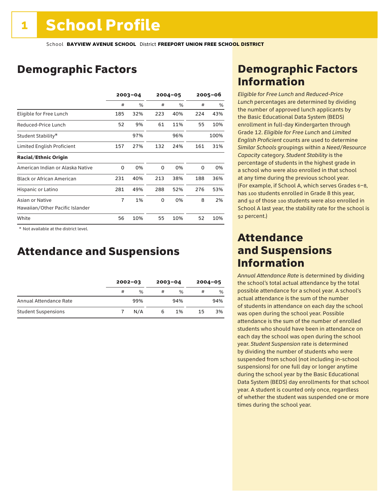### Demographic Factors

|                                                    | $2003 - 04$ |      |     | $2004 - 05$ |     | 2005-06 |  |
|----------------------------------------------------|-------------|------|-----|-------------|-----|---------|--|
|                                                    | #           | $\%$ | #   | %           | #   | $\%$    |  |
| Eligible for Free Lunch                            | 185         | 32%  | 223 | 40%         | 224 | 43%     |  |
| Reduced-Price Lunch                                | 52          | 9%   | 61  | 11%         | 55  | 10%     |  |
| Student Stability*                                 |             | 97%  |     | 96%         |     | 100%    |  |
| Limited English Proficient                         | 157         | 27%  | 132 | 24%         | 161 | 31%     |  |
| <b>Racial/Ethnic Origin</b>                        |             |      |     |             |     |         |  |
| American Indian or Alaska Native                   | 0           | 0%   | 0   | 0%          | 0   | 0%      |  |
| <b>Black or African American</b>                   | 231         | 40%  | 213 | 38%         | 188 | 36%     |  |
| Hispanic or Latino                                 | 281         | 49%  | 288 | 52%         | 276 | 53%     |  |
| Asian or Native<br>Hawaiian/Other Pacific Islander | 7           | 1%   | 0   | 0%          | 8   | 2%      |  |
| White                                              | 56          | 10%  | 55  | 10%         | 52  | 10%     |  |

 \* Not available at the district level.

### Attendance and Suspensions

|                            |   | $2002 - 03$ |   | $2003 - 04$   |    | $2004 - 05$ |
|----------------------------|---|-------------|---|---------------|----|-------------|
|                            | # | $\%$        | # | $\frac{0}{6}$ | #  | %           |
| Annual Attendance Rate     |   | 99%         |   | 94%           |    | 94%         |
| <b>Student Suspensions</b> |   | N/A         | 6 | 1%            | 15 | 3%          |

### Demographic Factors Information

*Eligible for Free Lunch* and *Reduced*-*Price Lunch* percentages are determined by dividing the number of approved lunch applicants by the Basic Educational Data System (BEDS) enrollment in full-day Kindergarten through Grade 12. *Eligible for Free Lunch* and *Limited English Proficient* counts are used to determine *Similar Schools* groupings within a *Need*/*Resource Capacity* category. *Student Stability* is the percentage of students in the highest grade in a school who were also enrolled in that school at any time during the previous school year. (For example, if School A, which serves Grades 6–8, has 100 students enrolled in Grade 8 this year, and 92 of those 100 students were also enrolled in School A last year, the stability rate for the school is 92 percent.)

### Attendance and Suspensions Information

*Annual Attendance Rate* is determined by dividing the school's total actual attendance by the total possible attendance for a school year. A school's actual attendance is the sum of the number of students in attendance on each day the school was open during the school year. Possible attendance is the sum of the number of enrolled students who should have been in attendance on each day the school was open during the school year. *Student Suspension* rate is determined by dividing the number of students who were suspended from school (not including in-school suspensions) for one full day or longer anytime during the school year by the Basic Educational Data System (BEDS) day enrollments for that school year. A student is counted only once, regardless of whether the student was suspended one or more times during the school year.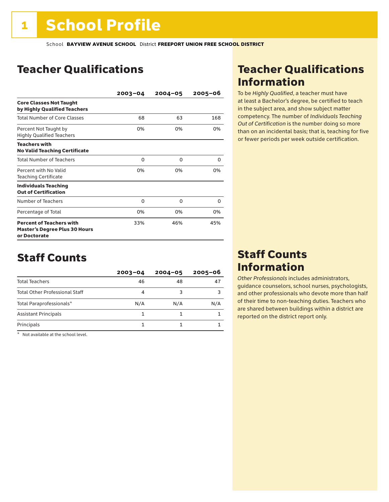### Teacher Qualifications

|                                                                                         | $2003 - 04$ | $2004 - 05$ | 2005-06 |
|-----------------------------------------------------------------------------------------|-------------|-------------|---------|
| <b>Core Classes Not Taught</b><br>by Highly Qualified Teachers                          |             |             |         |
| <b>Total Number of Core Classes</b>                                                     | 68          | 63          | 168     |
| Percent Not Taught by<br><b>Highly Qualified Teachers</b>                               | 0%          | 0%          | 0%      |
| <b>Teachers with</b><br><b>No Valid Teaching Certificate</b>                            |             |             |         |
| <b>Total Number of Teachers</b>                                                         | 0           | 0           | 0       |
| Percent with No Valid<br><b>Teaching Certificate</b>                                    | 0%          | 0%          | 0%      |
| <b>Individuals Teaching</b><br><b>Out of Certification</b>                              |             |             |         |
| Number of Teachers                                                                      | 0           | 0           | 0       |
| Percentage of Total                                                                     | 0%          | 0%          | 0%      |
| <b>Percent of Teachers with</b><br><b>Master's Degree Plus 30 Hours</b><br>or Doctorate | 33%         | 46%         | 45%     |

### Staff Counts

|                                       | $2003 - 04$ | $2004 - 05$ | $2005 - 06$ |
|---------------------------------------|-------------|-------------|-------------|
| <b>Total Teachers</b>                 | 46          | 48          | 47          |
| <b>Total Other Professional Staff</b> | 4           |             |             |
| Total Paraprofessionals*              | N/A         | N/A         | N/A         |
| <b>Assistant Principals</b>           |             |             |             |
| Principals                            |             |             |             |

\* Not available at the school level.

### Teacher Qualifications Information

To be *Highly Qualified*, a teacher must have at least a Bachelor's degree, be certified to teach in the subject area, and show subject matter competency. The number of *Individuals Teaching Out of Certification* is the number doing so more than on an incidental basis; that is, teaching for five or fewer periods per week outside certification.

### Staff Counts Information

*Other Professionals* includes administrators, guidance counselors, school nurses, psychologists, and other professionals who devote more than half of their time to non-teaching duties. Teachers who are shared between buildings within a district are reported on the district report only.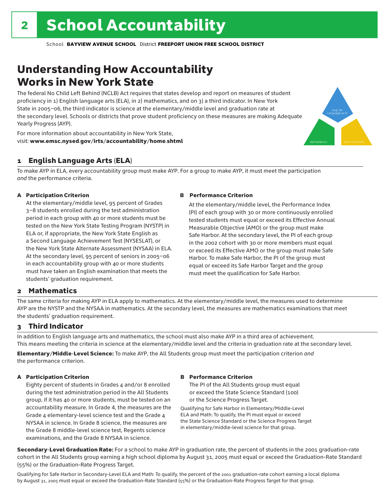### Understanding How Accountability Works in New York State

The federal No Child Left Behind (NCLB) Act requires that states develop and report on measures of student proficiency in 1) English language arts (ELA), in 2) mathematics, and on 3) a third indicator. In New York State in 2005–06, the third indicator is science at the elementary/middle level and graduation rate at the secondary level. Schools or districts that prove student proficiency on these measures are making Adequate Yearly Progress (AYP).



For more information about accountability in New York State, visit: www.emsc.nysed.gov/irts/accountability/home.shtml

#### 1 English Language Arts (ELA)

To make AYP in ELA, every accountability group must make AYP. For a group to make AYP, it must meet the participation *and* the performance criteria.

#### A Participation Criterion

At the elementary/middle level, 95 percent of Grades 3–8 students enrolled during the test administration period in each group with 40 or more students must be tested on the New York State Testing Program (NYSTP) in ELA or, if appropriate, the New York State English as a Second Language Achievement Test (NYSESLAT), or the New York State Alternate Assessment (NYSAA) in ELA. At the secondary level, 95 percent of seniors in 2005–06 in each accountability group with 40 or more students must have taken an English examination that meets the students' graduation requirement.

#### B Performance Criterion

At the elementary/middle level, the Performance Index (PI) of each group with 30 or more continuously enrolled tested students must equal or exceed its Effective Annual Measurable Objective (AMO) or the group must make Safe Harbor. At the secondary level, the PI of each group in the 2002 cohort with 30 or more members must equal or exceed its Effective AMO or the group must make Safe Harbor. To make Safe Harbor, the PI of the group must equal or exceed its Safe Harbor Target and the group must meet the qualification for Safe Harbor.

#### 2 Mathematics

The same criteria for making AYP in ELA apply to mathematics. At the elementary/middle level, the measures used to determine AYP are the NYSTP and the NYSAA in mathematics. At the secondary level, the measures are mathematics examinations that meet the students' graduation requirement.

#### 3 Third Indicator

In addition to English language arts and mathematics, the school must also make AYP in a third area of achievement. This means meeting the criteria in science at the elementary/middle level and the criteria in graduation rate at the secondary level.

Elementary/Middle-Level Science: To make AYP, the All Students group must meet the participation criterion *and* the performance criterion.

#### A Participation Criterion

Eighty percent of students in Grades 4 and/or 8 enrolled during the test administration period in the All Students group, if it has 40 or more students, must be tested on an accountability measure. In Grade 4, the measures are the Grade 4 elementary-level science test and the Grade 4 NYSAA in science. In Grade 8 science, the measures are the Grade 8 middle-level science test, Regents science examinations, and the Grade 8 NYSAA in science.

#### B Performance Criterion

The PI of the All Students group must equal or exceed the State Science Standard (100) or the Science Progress Target.

Qualifying for Safe Harbor in Elementary/Middle-Level ELA and Math: To qualify, the PI must equal or exceed the State Science Standard or the Science Progress Target in elementary/middle-level science for that group.

Secondary-Level Graduation Rate: For a school to make AYP in graduation rate, the percent of students in the 2001 graduation-rate cohort in the All Students group earning a high school diploma by August 31, 2005 must equal or exceed the Graduation-Rate Standard (55%) or the Graduation-Rate Progress Target.

Qualifying for Safe Harbor in Secondary-Level ELA and Math: To qualify, the percent of the 2001 graduation-rate cohort earning a local diploma by August 31, 2005 must equal or exceed the Graduation-Rate Standard (55%) or the Graduation-Rate Progress Target for that group.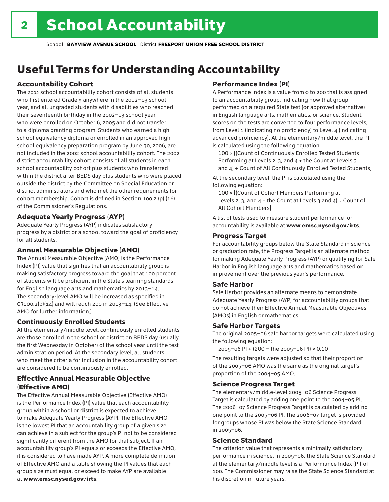### Useful Terms for Understanding Accountability

#### Accountability Cohort

The 2002 school accountability cohort consists of all students who first entered Grade 9 anywhere in the 2002–03 school year, and all ungraded students with disabilities who reached their seventeenth birthday in the 2002–03 school year, who were enrolled on October 6, 2005 and did not transfer to a diploma granting program. Students who earned a high school equivalency diploma or enrolled in an approved high school equivalency preparation program by June 30, 2006, are not included in the 2002 school accountability cohort. The 2002 district accountability cohort consists of all students in each school accountability cohort plus students who transferred within the district after BEDS day plus students who were placed outside the district by the Committee on Special Education or district administrators and who met the other requirements for cohort membership. Cohort is defined in Section 100.2 (p) (16) of the Commissioner's Regulations.

#### Adequate Yearly Progress (AYP)

Adequate Yearly Progress (AYP) indicates satisfactory progress by a district or a school toward the goal of proficiency for all students.

#### Annual Measurable Objective (AMO)

The Annual Measurable Objective (AMO) is the Performance Index (PI) value that signifies that an accountability group is making satisfactory progress toward the goal that 100 percent of students will be proficient in the State's learning standards for English language arts and mathematics by 2013–14. The secondary-level AMO will be increased as specified in  $CR100.2(p)(14)$  and will reach 200 in 2013-14. (See Effective AMO for further information.)

#### Continuously Enrolled Students

At the elementary/middle level, continuously enrolled students are those enrolled in the school or district on BEDS day (usually the first Wednesday in October) of the school year until the test administration period. At the secondary level, all students who meet the criteria for inclusion in the accountability cohort are considered to be continuously enrolled.

#### Effective Annual Measurable Objective (Effective AMO)

The Effective Annual Measurable Objective (Effective AMO) is the Performance Index (PI) value that each accountability group within a school or district is expected to achieve to make Adequate Yearly Progress (AYP). The Effective AMO is the lowest PI that an accountability group of a given size can achieve in a subject for the group's PI not to be considered significantly different from the AMO for that subject. If an accountability group's PI equals or exceeds the Effective AMO, it is considered to have made AYP. A more complete definition of Effective AMO and a table showing the PI values that each group size must equal or exceed to make AYP are available at www.emsc.nysed.gov/irts.

#### Performance Index (PI)

A Performance Index is a value from 0 to 200 that is assigned to an accountability group, indicating how that group performed on a required State test (or approved alternative) in English language arts, mathematics, or science. Student scores on the tests are converted to four performance levels, from Level 1 (indicating no proficiency) to Level 4 (indicating advanced proficiency). At the elementary/middle level, the PI is calculated using the following equation:

100 × [(Count of Continuously Enrolled Tested Students Performing at Levels 2, 3, and 4 + the Count at Levels 3 and  $4$ ) ÷ Count of All Continuously Enrolled Tested Students]

At the secondary level, the PI is calculated using the following equation:

100 × [(Count of Cohort Members Performing at Levels 2, 3, and  $4 +$  the Count at Levels 3 and  $4$ ) ÷ Count of All Cohort Members]

A list of tests used to measure student performance for accountability is available at www.emsc.nysed.gov/irts.

#### Progress Target

For accountability groups below the State Standard in science or graduation rate, the Progress Target is an alternate method for making Adequate Yearly Progress (AYP) or qualifying for Safe Harbor in English language arts and mathematics based on improvement over the previous year's performance.

#### Safe Harbor

Safe Harbor provides an alternate means to demonstrate Adequate Yearly Progress (AYP) for accountability groups that do not achieve their Effective Annual Measurable Objectives (AMOs) in English or mathematics.

#### Safe Harbor Targets

The original 2005–06 safe harbor targets were calculated using the following equation:

2005–06 PI + (200 – the 2005–06 PI) × 0.10

The resulting targets were adjusted so that their proportion of the 2005–06 AMO was the same as the original target's proportion of the 2004–05 AMO.

#### Science Progress Target

The elementary/middle-level 2005–06 Science Progress Target is calculated by adding one point to the 2004–05 PI. The 2006–07 Science Progress Target is calculated by adding one point to the 2005–06 PI. The 2006–07 target is provided for groups whose PI was below the State Science Standard in 2005–06.

#### Science Standard

The criterion value that represents a minimally satisfactory performance in science. In 2005–06, the State Science Standard at the elementary/middle level is a Performance Index (PI) of 100. The Commissioner may raise the State Science Standard at his discretion in future years.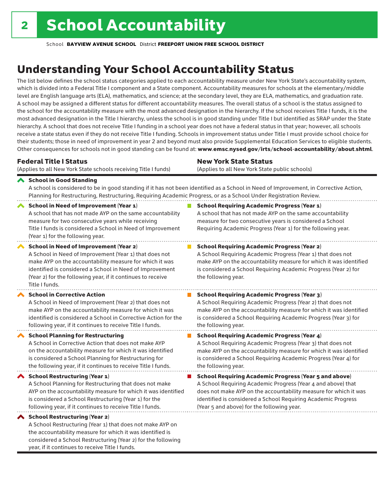considered a School Restructuring (Year 2) for the following

year, if it continues to receive Title I funds.

School **BAYVIEW AVENUE SCHOOL** District **FREEPORT UNION FREE SCHOOL DISTRICT**

### Understanding Your School Accountability Status

The list below defines the school status categories applied to each accountability measure under New York State's accountability system, which is divided into a Federal Title I component and a State component. Accountability measures for schools at the elementary/middle level are English language arts (ELA), mathematics, and science; at the secondary level, they are ELA, mathematics, and graduation rate. A school may be assigned a different status for different accountability measures. The overall status of a school is the status assigned to the school for the accountability measure with the most advanced designation in the hierarchy. If the school receives Title I funds, it is the most advanced designation in the Title I hierarchy, unless the school is in good standing under Title I but identified as SRAP under the State hierarchy. A school that does not receive Title I funding in a school year does not have a federal status in that year; however, all schools receive a state status even if they do not receive Title I funding. Schools in improvement status under Title I must provide school choice for their students; those in need of improvement in year 2 and beyond must also provide Supplemental Education Services to eligible students. Other consequences for schools not in good standing can be found at: www.emsc.nysed.gov/irts/school-accountability/about.shtml.

| <b>Federal Title I Status</b>                                                                                                                                                                                                                                                                                   | <b>New York State Status</b>                                                                                                                                                                                                                                                      |  |  |  |
|-----------------------------------------------------------------------------------------------------------------------------------------------------------------------------------------------------------------------------------------------------------------------------------------------------------------|-----------------------------------------------------------------------------------------------------------------------------------------------------------------------------------------------------------------------------------------------------------------------------------|--|--|--|
| (Applies to all New York State schools receiving Title I funds)                                                                                                                                                                                                                                                 | (Applies to all New York State public schools)                                                                                                                                                                                                                                    |  |  |  |
| School in Good Standing<br>Planning for Restructuring, Restructuring, Requiring Academic Progress, or as a School Under Registration Review.                                                                                                                                                                    | A school is considered to be in good standing if it has not been identified as a School in Need of Improvement, in Corrective Action,                                                                                                                                             |  |  |  |
| <b>School in Need of Improvement (Year 1)</b><br>A school that has not made AYP on the same accountability<br>measure for two consecutive years while receiving<br>Title I funds is considered a School in Need of Improvement<br>(Year 1) for the following year.                                              | <b>School Requiring Academic Progress (Year 1)</b><br>A school that has not made AYP on the same accountability<br>measure for two consecutive years is considered a School<br>Requiring Academic Progress (Year 1) for the following year.                                       |  |  |  |
| <b>School in Need of Improvement (Year 2)</b><br>A School in Need of Improvement (Year 1) that does not<br>make AYP on the accountability measure for which it was<br>identified is considered a School in Need of Improvement<br>(Year 2) for the following year, if it continues to receive<br>Title I funds. | <b>School Requiring Academic Progress (Year 2)</b><br>A School Requiring Academic Progress (Year 1) that does not<br>make AYP on the accountability measure for which it was identified<br>is considered a School Requiring Academic Progress (Year 2) for<br>the following year. |  |  |  |
| <b>School in Corrective Action</b>                                                                                                                                                                                                                                                                              | <b>School Requiring Academic Progress (Year 3)</b>                                                                                                                                                                                                                                |  |  |  |
| A School in Need of Improvement (Year 2) that does not                                                                                                                                                                                                                                                          | A School Requiring Academic Progress (Year 2) that does not                                                                                                                                                                                                                       |  |  |  |
| make AYP on the accountability measure for which it was                                                                                                                                                                                                                                                         | make AYP on the accountability measure for which it was identified                                                                                                                                                                                                                |  |  |  |
| identified is considered a School in Corrective Action for the                                                                                                                                                                                                                                                  | is considered a School Requiring Academic Progress (Year 3) for                                                                                                                                                                                                                   |  |  |  |
| following year, if it continues to receive Title I funds.                                                                                                                                                                                                                                                       | the following year.                                                                                                                                                                                                                                                               |  |  |  |
| <b>School Planning for Restructuring</b>                                                                                                                                                                                                                                                                        | <b>School Requiring Academic Progress (Year 4)</b>                                                                                                                                                                                                                                |  |  |  |
| A School in Corrective Action that does not make AYP                                                                                                                                                                                                                                                            | A School Requiring Academic Progress (Year 3) that does not                                                                                                                                                                                                                       |  |  |  |
| on the accountability measure for which it was identified                                                                                                                                                                                                                                                       | make AYP on the accountability measure for which it was identified                                                                                                                                                                                                                |  |  |  |
| is considered a School Planning for Restructuring for                                                                                                                                                                                                                                                           | is considered a School Requiring Academic Progress (Year 4) for                                                                                                                                                                                                                   |  |  |  |
| the following year, if it continues to receive Title I funds.                                                                                                                                                                                                                                                   | the following year.                                                                                                                                                                                                                                                               |  |  |  |
| <b>School Restructuring (Year 1)</b>                                                                                                                                                                                                                                                                            | <b>School Requiring Academic Progress (Year 5 and above)</b>                                                                                                                                                                                                                      |  |  |  |
| A School Planning for Restructuring that does not make                                                                                                                                                                                                                                                          | A School Requiring Academic Progress (Year 4 and above) that                                                                                                                                                                                                                      |  |  |  |
| AYP on the accountability measure for which it was identified                                                                                                                                                                                                                                                   | does not make AYP on the accountability measure for which it was                                                                                                                                                                                                                  |  |  |  |
| is considered a School Restructuring (Year 1) for the                                                                                                                                                                                                                                                           | identified is considered a School Requiring Academic Progress                                                                                                                                                                                                                     |  |  |  |
| following year, if it continues to receive Title I funds.                                                                                                                                                                                                                                                       | (Year 5 and above) for the following year.                                                                                                                                                                                                                                        |  |  |  |
| ◆ School Restructuring (Year 2)<br>A School Restructuring (Year 1) that does not make AYP on<br>the accountability measure for which it was identified is                                                                                                                                                       |                                                                                                                                                                                                                                                                                   |  |  |  |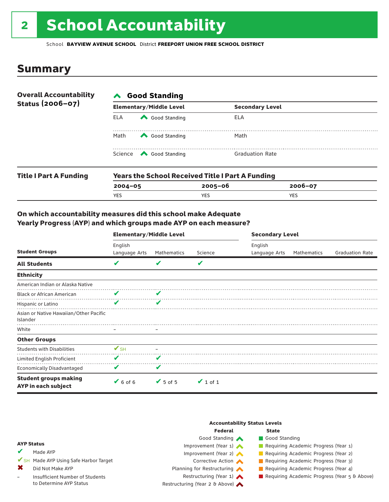# 2 School Accountability

School **BAYVIEW AVENUE SCHOOL** District **FREEPORT UNION FREE SCHOOL DISTRICT**

### Summary

| <b>Overall Accountability</b> | <b>∧</b> Good Standing         |                                                         |                        |  |  |
|-------------------------------|--------------------------------|---------------------------------------------------------|------------------------|--|--|
| Status (2006-07)              | <b>Elementary/Middle Level</b> |                                                         | <b>Secondary Level</b> |  |  |
|                               | <b>ELA</b>                     | Good Standing                                           | ELA                    |  |  |
|                               | Math                           | Good Standing                                           | Math                   |  |  |
|                               |                                | Science <a> Good Standing</a>                           | <b>Graduation Rate</b> |  |  |
| <b>Title I Part A Funding</b> |                                | <b>Years the School Received Title I Part A Funding</b> |                        |  |  |

| <b>Title Fart A Funding</b> | rears the School Received Title Frant A Funding |             |             |  |  |  |
|-----------------------------|-------------------------------------------------|-------------|-------------|--|--|--|
|                             | $2004 - 05$                                     | $2005 - 06$ | $2006 - 07$ |  |  |  |
|                             | <b>YES</b>                                      | <b>YES</b>  | YES         |  |  |  |
|                             |                                                 |             |             |  |  |  |

#### On which accountability measures did this school make Adequate Yearly Progress (AYP) and which groups made AYP on each measure?

|                                                     | <b>Elementary/Middle Level</b> |               |               | <b>Secondary Level</b>   |             |                        |  |
|-----------------------------------------------------|--------------------------------|---------------|---------------|--------------------------|-------------|------------------------|--|
| <b>Student Groups</b>                               | English<br>Language Arts       | Mathematics   | Science       | English<br>Language Arts | Mathematics | <b>Graduation Rate</b> |  |
| <b>All Students</b>                                 | V                              |               | V             |                          |             |                        |  |
| <b>Ethnicity</b>                                    |                                |               |               |                          |             |                        |  |
| American Indian or Alaska Native                    |                                |               |               |                          |             |                        |  |
| <b>Black or African American</b>                    | V                              | V             |               |                          |             |                        |  |
| Hispanic or Latino                                  | ✔                              | ✔             |               |                          |             |                        |  |
| Asian or Native Hawaiian/Other Pacific<br>Islander  |                                |               |               |                          |             |                        |  |
| White                                               |                                |               |               |                          |             |                        |  |
| <b>Other Groups</b>                                 |                                |               |               |                          |             |                        |  |
| <b>Students with Disabilities</b>                   | $V_{\text{SH}}$                |               |               |                          |             |                        |  |
| Limited English Proficient                          | V                              | V             |               |                          |             |                        |  |
| <b>Economically Disadvantaged</b>                   | V                              | V             |               |                          |             |                        |  |
| <b>Student groups making</b><br>AYP in each subject | $6$ of 6                       | $\vee$ 5 of 5 | $\vee$ 1 of 1 |                          |             |                        |  |

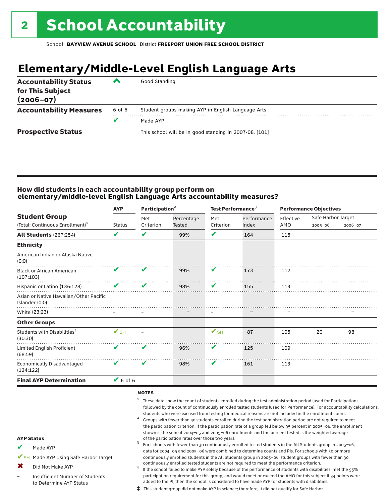## **Elementary/Middle-Level English Language Arts**

| <b>Accountability Status</b><br>for This Subject<br>$(2006 - 07)$ | ▰      | Good Standing                                          |
|-------------------------------------------------------------------|--------|--------------------------------------------------------|
| <b>Accountability Measures</b>                                    | 6 of 6 | Student groups making AYP in English Language Arts     |
|                                                                   |        | Made AYP                                               |
| <b>Prospective Status</b>                                         |        | This school will be in good standing in 2007-08. [101] |

#### How did students in each accountability group perform on **elementary/middle-level English Language Arts accountability measures?**

| <b>AYP</b>               |               |                         | Test Performance <sup>3</sup>               |             |           |                    |                                              |
|--------------------------|---------------|-------------------------|---------------------------------------------|-------------|-----------|--------------------|----------------------------------------------|
|                          | Met           | Percentage              | Met                                         | Performance | Effective | Safe Harbor Target |                                              |
|                          |               |                         |                                             |             |           |                    | 2006-07                                      |
| V                        | V             | 99%                     | ✔                                           | 164         | 115       |                    |                                              |
|                          |               |                         |                                             |             |           |                    |                                              |
|                          |               |                         |                                             |             |           |                    |                                              |
| V                        | V             | 99%                     | V                                           | 173         | 112       |                    |                                              |
| V                        | V             | 98%                     | V                                           | 155         | 113       |                    |                                              |
|                          |               |                         |                                             |             |           |                    |                                              |
|                          |               |                         |                                             |             |           |                    |                                              |
|                          |               |                         |                                             |             |           |                    |                                              |
| $\mathbf{V}_{\text{SH}}$ |               |                         | $\mathbf{V}_{\text{SH}}$                    | 87          | 105       | 20                 | 98                                           |
| V                        | V             | 96%                     | V                                           | 125         | 109       |                    |                                              |
| V                        | V             | 98%                     | V                                           | 161         | 113       |                    |                                              |
|                          |               |                         |                                             |             |           |                    |                                              |
|                          | <b>Status</b> | Criterion<br>$V$ 6 of 6 | Participation <sup>2</sup><br><b>Tested</b> | Criterion   | Index     | AMO                | <b>Performance Objectives</b><br>$2005 - 06$ |

#### notes

- <sup>1</sup> These data show the count of students enrolled during the test administration period (used for Participation) followed by the count of continuously enrolled tested students (used for Performance). For accountability calculations,
- students who were excused from testing for medical reasons are not included in the enrollment count.<br><sup>2</sup> Groups with fewer than 40 students enrolled during the test administration period are not required to meet the participation criterion. If the participation rate of a group fell below 95 percent in 2005–06, the enrollment shown is the sum of 2004–05 and 2005–06 enrollments and the percent tested is the weighted average<br>of the participation rates over those two years. of the participation rates over those two years. <sup>3</sup> For schools with fewer than 30 continuously enrolled tested students in the All Students group in 2005–06,
- AYP Status Made AYP ✔
- ✔SH Made AYP Using Safe Harbor Target
- Did Not Make AYP ✖
- Insufficient Number of Students to Determine AYP Status –
- continuously enrolled tested students are not required to meet the performance criterion.<br>If the school failed to make AYP solely because of the performance of students with disabilities, met the 95% participation requirement for this group, and would meet or exceed the AMO for this subject if 34 points were added to the PI, then the school is considered to have made AYP for students with disabilities.

data for 2004–05 and 2005–06 were combined to determine counts and PIs. For schools with 30 or more continuously enrolled students in the All Students group in 2005–06, student groups with fewer than 30

‡ This student group did not make AYP in science; therefore, it did not qualify for Safe Harbor.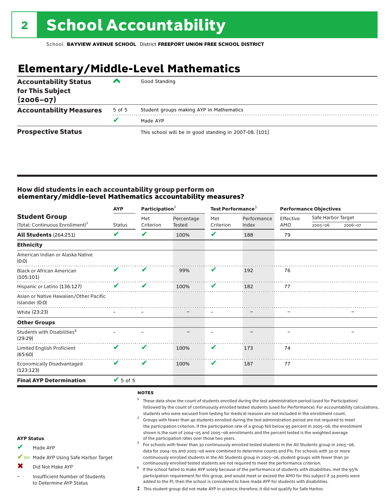## **Elementary/Middle-Level Mathematics**

| <b>Accountability Status</b><br>for This Subject<br>$(2006 - 07)$ | ▰      | Good Standing                                          |
|-------------------------------------------------------------------|--------|--------------------------------------------------------|
| <b>Accountability Measures</b>                                    | 5 of 5 | Student groups making AYP in Mathematics               |
|                                                                   | v      | Made AYP                                               |
| <b>Prospective Status</b>                                         |        | This school will be in good standing in 2007-08. [101] |

#### How did students in each accountability group perform on **elementary/middle-level Mathematics accountability measures?**

|                                                                     | Participation <sup>2</sup><br><b>AYP</b> |                  |                             |                  | Test Performance <sup>3</sup> |                          | <b>Performance Objectives</b> |         |  |
|---------------------------------------------------------------------|------------------------------------------|------------------|-----------------------------|------------------|-------------------------------|--------------------------|-------------------------------|---------|--|
| <b>Student Group</b><br>(Total: Continuous Enrollment) <sup>1</sup> | <b>Status</b>                            | Met<br>Criterion | Percentage<br><b>Tested</b> | Met<br>Criterion | Performance<br>Index          | Effective<br>AMO         | Safe Harbor Target<br>2005-06 | 2006-07 |  |
|                                                                     |                                          |                  |                             |                  |                               |                          |                               |         |  |
| <b>All Students (264:251)</b>                                       | V                                        | V                | 100%                        | V                | 188                           | 79                       |                               |         |  |
| <b>Ethnicity</b>                                                    |                                          |                  |                             |                  |                               |                          |                               |         |  |
| American Indian or Alaska Native<br>(0:0)                           |                                          |                  |                             |                  |                               |                          |                               |         |  |
| <b>Black or African American</b><br>(105:101)                       | V                                        | V                | 99%                         | V                | 192                           | 76                       |                               |         |  |
| Hispanic or Latino (136:127)                                        | V                                        | V                | 100%                        | V                | 182                           | 77                       |                               |         |  |
| Asian or Native Hawaiian/Other Pacific<br>Islander (0:0)            |                                          |                  |                             |                  |                               |                          |                               |         |  |
| White (23:23)                                                       |                                          |                  |                             |                  |                               |                          |                               |         |  |
| <b>Other Groups</b>                                                 |                                          |                  |                             |                  |                               |                          |                               |         |  |
| Students with Disabilities <sup>4</sup><br>(29:29)                  |                                          |                  |                             |                  |                               | $\overline{\phantom{0}}$ |                               |         |  |
| Limited English Proficient<br>(65:60)                               | V                                        | V                | 100%                        | V                | 173                           | 74                       |                               |         |  |
| <b>Economically Disadvantaged</b><br>(123:123)                      | V                                        | V                | 100%                        | V                | 187                           | 77                       |                               |         |  |
| <b>Final AYP Determination</b>                                      | $\blacktriangledown$ 5 of 5              |                  |                             |                  |                               |                          |                               |         |  |

#### notes

- <sup>1</sup> These data show the count of students enrolled during the test administration period (used for Participation) followed by the count of continuously enrolled tested students (used for Performance). For accountability calculations,
- students who were excused from testing for medical reasons are not included in the enrollment count.<br><sup>2</sup> Groups with fewer than 40 students enrolled during the test administration period are not required to meet the participation criterion. If the participation rate of a group fell below 95 percent in 2005–06, the enrollment shown is the sum of 2004–05 and 2005–06 enrollments and the percent tested is the weighted average<br>of the participation rates over those two years. of the participation rates over those two years. <sup>3</sup> For schools with fewer than 30 continuously enrolled tested students in the All Students group in 2005–06,
- AYP Status Made AYP ✔
- ✔SH Made AYP Using Safe Harbor Target
- Did Not Make AYP ✖
- Insufficient Number of Students to Determine AYP Status –
- continuously enrolled tested students are not required to meet the performance criterion.<br>If the school failed to make AYP solely because of the performance of students with disabilities, met the 95% participation requirement for this group, and would meet or exceed the AMO for this subject if 34 points were added to the PI, then the school is considered to have made AYP for students with disabilities.

data for 2004–05 and 2005–06 were combined to determine counts and PIs. For schools with 30 or more continuously enrolled students in the All Students group in 2005–06, student groups with fewer than 30

‡ This student group did not make AYP in science; therefore, it did not qualify for Safe Harbor.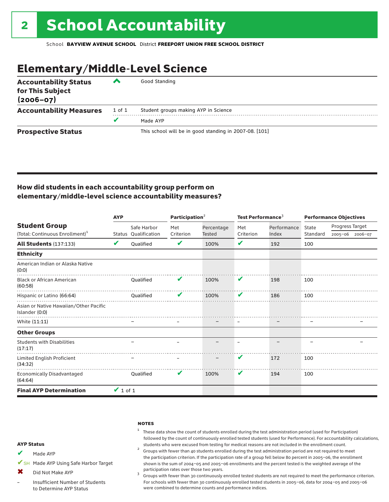### Elementary/Middle-Level Science

| <b>Accountability Status</b><br>for This Subject<br>$(2006 - 07)$ | ▞      | Good Standing                                          |
|-------------------------------------------------------------------|--------|--------------------------------------------------------|
| <b>Accountability Measures</b>                                    | 1 of 1 | Student groups making AYP in Science                   |
|                                                                   | v      | Made AYP                                               |
| <b>Prospective Status</b>                                         |        | This school will be in good standing in 2007-08. [101] |

#### How did students in each accountability group perform on elementary/middle-level science accountability measures?

|                                                          | <b>AYP</b>    |                      | Participation $2$ |               | Test Performance <sup>3</sup> |             | <b>Performance Objectives</b> |                 |                 |
|----------------------------------------------------------|---------------|----------------------|-------------------|---------------|-------------------------------|-------------|-------------------------------|-----------------|-----------------|
| <b>Student Group</b>                                     |               | Safe Harbor          | Met               | Percentage    | Met                           | Performance | State                         | Progress Target |                 |
| (Total: Continuous Enrollment) <sup>1</sup>              |               | Status Qualification | Criterion         | <b>Tested</b> | Criterion                     | Index       | Standard                      |                 | 2005-06 2006-07 |
| <b>All Students (137:133)</b>                            | V             | <b>Oualified</b>     | V                 | 100%          | V                             | 192         | 100                           |                 |                 |
| <b>Ethnicity</b>                                         |               |                      |                   |               |                               |             |                               |                 |                 |
| American Indian or Alaska Native<br>(0:0)                |               |                      |                   |               |                               |             |                               |                 |                 |
| <b>Black or African American</b><br>(60:58)              |               | Qualified            | v                 | 100%          | V                             | 198         | 100                           |                 |                 |
| Hispanic or Latino (66:64)                               |               | Oualified            | v                 | 100%          | V                             | 186         | 100                           |                 |                 |
| Asian or Native Hawaiian/Other Pacific<br>Islander (0:0) |               |                      |                   |               |                               |             |                               |                 |                 |
| White (11:11)                                            |               |                      |                   |               |                               |             |                               |                 |                 |
| <b>Other Groups</b>                                      |               |                      |                   |               |                               |             |                               |                 |                 |
| <b>Students with Disabilities</b><br>(17:17)             |               |                      |                   |               |                               |             |                               |                 |                 |
| Limited English Proficient<br>(34:32)                    |               |                      |                   |               | V                             | 172         | 100                           |                 |                 |
| <b>Economically Disadvantaged</b><br>(64:64)             |               | Oualified            | V                 | 100%          | V                             | 194         | 100                           |                 |                 |
| <b>Final AYP Determination</b>                           | $\vee$ 1 of 1 |                      |                   |               |                               |             |                               |                 |                 |

#### **NOTES**

- $1$  These data show the count of students enrolled during the test administration period (used for Participation) followed by the count of continuously enrolled tested students (used for Performance). For accountability calculations,
- students who were excused from testing for medical reasons are not included in the enrollment count. <sup>2</sup> Groups with fewer than <sup>40</sup> students enrolled during the test administration period are not required to meet the participation criterion. If the participation rate of a group fell below 80 percent in 2005–06, the enrollment shown is the sum of 2004–05 and 2005–06 enrollments and the percent tested is the weighted average of the
- participation rates over those two years.<br><sup>3</sup> Groups with fewer than 30 continuously enrolled tested students are not required to meet the performance criterion. For schools with fewer than 30 continuously enrolled tested students in 2005–06, data for 2004–05 and 2005–06 were combined to determine counts and performance indices.

#### AYP Status

- Made AYP ✔
- ✔SH Made AYP Using Safe Harbor Target
- Did Not Make AYP  $\bm{x}$
- Insufficient Number of Students to Determine AYP Status –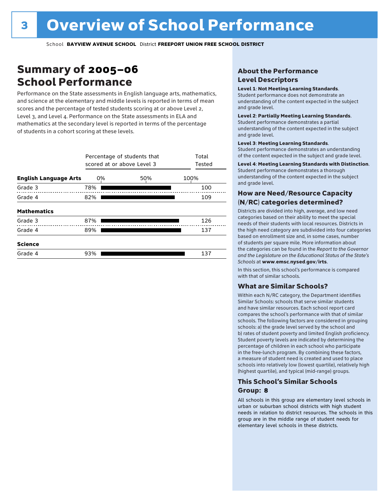### Summary of 2005–06 School Performance

Performance on the State assessments in English language arts, mathematics, and science at the elementary and middle levels is reported in terms of mean scores and the percentage of tested students scoring at or above Level 2, Level 3, and Level 4. Performance on the State assessments in ELA and mathematics at the secondary level is reported in terms of the percentage of students in a cohort scoring at these levels.

|                              |     | Percentage of students that<br>scored at or above Level 3 |      |  |  |  |  |  |
|------------------------------|-----|-----------------------------------------------------------|------|--|--|--|--|--|
| <b>English Language Arts</b> | 0%  | 50%                                                       | 100% |  |  |  |  |  |
| Grade 3                      | 78% |                                                           | 100  |  |  |  |  |  |
| Grade 4                      | 82% |                                                           | 109  |  |  |  |  |  |
| <b>Mathematics</b>           |     |                                                           |      |  |  |  |  |  |
| Grade 3                      | 87% |                                                           | 126  |  |  |  |  |  |
| Grade 4                      | 89% |                                                           | 137  |  |  |  |  |  |
| <b>Science</b>               |     |                                                           |      |  |  |  |  |  |
| Grade 4                      | 93% |                                                           | 137  |  |  |  |  |  |

#### About the Performance Level Descriptors

#### Level 1: Not Meeting Learning Standards.

Student performance does not demonstrate an understanding of the content expected in the subject and grade level.

#### Level 2: Partially Meeting Learning Standards.

Student performance demonstrates a partial understanding of the content expected in the subject and grade level.

#### Level 3: Meeting Learning Standards.

Student performance demonstrates an understanding of the content expected in the subject and grade level.

#### Level 4: Meeting Learning Standards with Distinction.

Student performance demonstrates a thorough understanding of the content expected in the subject and grade level.

#### How are Need/Resource Capacity (N/RC) categories determined?

Districts are divided into high, average, and low need categories based on their ability to meet the special needs of their students with local resources. Districts in the high need category are subdivided into four categories based on enrollment size and, in some cases, number of students per square mile. More information about the categories can be found in the *Report to the Governor and the Legislature on the Educational Status of the State's Schools* at www.emsc.nysed.gov/irts.

In this section, this school's performance is compared with that of similar schools.

#### What are Similar Schools?

Within each N/RC category, the Department identifies Similar Schools: schools that serve similar students and have similar resources. Each school report card compares the school's performance with that of similar schools. The following factors are considered in grouping schools: a) the grade level served by the school and b) rates of student poverty and limited English proficiency. Student poverty levels are indicated by determining the percentage of children in each school who participate in the free-lunch program. By combining these factors, a measure of student need is created and used to place schools into relatively low (lowest quartile), relatively high (highest quartile), and typical (mid-range) groups.

#### This School's Similar Schools Group: **8**

All schools in this group are elementary level schools in urban or suburban school districts with high student needs in relation to district resources. The schools in this group are in the middle range of student needs for elementary level schools in these districts.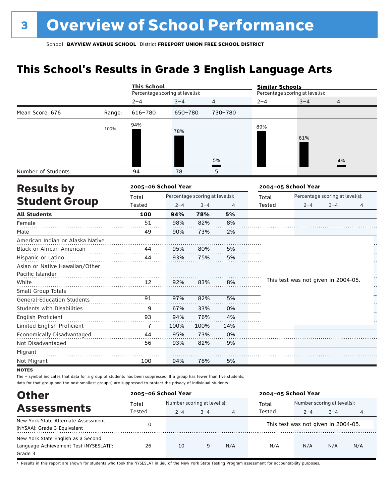### **This School's Results in Grade 3 English Language Arts**

|                                   |        | <b>This School</b>              |         |                                 |                | <b>Similar Schools</b> |                                     |                                 |    |
|-----------------------------------|--------|---------------------------------|---------|---------------------------------|----------------|------------------------|-------------------------------------|---------------------------------|----|
|                                   |        | Percentage scoring at level(s): |         |                                 |                |                        | Percentage scoring at level(s):     |                                 |    |
|                                   |        | $2 - 4$                         | $3 - 4$ | 4                               |                | $2 - 4$                | $3 - 4$                             | 4                               |    |
| Mean Score: 676                   | Range: | 616-780                         | 650-780 |                                 | 730-780        |                        |                                     |                                 |    |
|                                   | 100%   | 94%                             | 78%     |                                 |                | 89%                    | 61%                                 |                                 |    |
|                                   |        |                                 |         |                                 | 5%             |                        |                                     | 4%                              |    |
| Number of Students:               |        | 94                              | 78      |                                 | 5              |                        |                                     |                                 |    |
| <b>Results by</b>                 |        | 2005-06 School Year             |         |                                 |                |                        | 2004-05 School Year                 |                                 |    |
|                                   |        | Total                           |         | Percentage scoring at level(s): |                | Total                  |                                     | Percentage scoring at level(s): |    |
| <b>Student Group</b>              |        | Tested                          | $2 - 4$ | $3 - 4$                         | $\overline{4}$ | <b>Tested</b>          | $2 - 4$                             | $3 - 4$                         | 4  |
| <b>All Students</b>               |        | 100                             | 94%     | 78%                             | 5%             |                        |                                     |                                 |    |
| Female                            |        | 51                              | 98%     | 82%                             | 8%             |                        |                                     |                                 |    |
| Male                              |        | 49                              | 90%     | 73%                             | 2%             |                        |                                     |                                 |    |
| American Indian or Alaska Native  |        |                                 |         |                                 |                |                        |                                     |                                 |    |
| Black or African American         |        | 44                              | 95%     | 80%                             | 5%             |                        |                                     |                                 |    |
| Hispanic or Latino                |        | 44                              | 93%     | 75%                             | 5%             |                        |                                     |                                 |    |
| Asian or Native Hawaiian/Other    |        |                                 |         |                                 |                |                        |                                     |                                 |    |
| Pacific Islander                  |        |                                 |         |                                 |                |                        |                                     |                                 |    |
| White                             |        | 12                              | 92%     | 83%                             | 8%             |                        | This test was not given in 2004-05. |                                 | Н, |
| Small Group Totals                |        |                                 |         |                                 |                |                        |                                     |                                 |    |
| <b>General-Education Students</b> |        | 91                              | 97%     | 82%                             | 5%             |                        |                                     |                                 |    |
| Students with Disabilities        |        | 9                               | 67%     | 33%                             | 0%             |                        |                                     |                                 |    |
| English Proficient                |        | 93                              | 94%     | 76%                             | 4%             |                        |                                     |                                 |    |
| Limited English Proficient        |        | $\overline{1}$                  | 100%    | 100%                            | 14%            |                        |                                     |                                 |    |
| Economically Disadvantaged        |        | 44                              | 95%     | 73%                             | 0%             |                        |                                     |                                 |    |
| Not Disadvantaged                 |        | 56                              | 93%     | 82%                             | 9%             |                        |                                     |                                 |    |
| Migrant                           |        |                                 |         |                                 |                |                        |                                     |                                 |    |
| Not Migrant                       |        | 100                             | 94%     | 78%                             | 5%             |                        |                                     |                                 |    |
| <b>NOTES</b>                      |        |                                 |         |                                 |                |                        |                                     |                                 |    |

The – symbol indicates that data for a group of students has been suppressed. If a group has fewer than five students,

data for that group and the next smallest group(s) are suppressed to protect the privacy of individual students.

| <b>Other</b>                           | 2005-06 School Year |                             |         |     | 2004-05 School Year |                                     |         |     |
|----------------------------------------|---------------------|-----------------------------|---------|-----|---------------------|-------------------------------------|---------|-----|
| <b>Assessments</b>                     | Total               | Number scoring at level(s): |         |     | Total               | Number scoring at level(s):         |         |     |
|                                        | Tested              | $2 - 4$                     | $3 - 4$ | 4   | Tested              | $2 - 4$                             | $3 - 4$ | 4   |
| New York State Alternate Assessment    |                     |                             |         |     |                     | This test was not given in 2004-05. |         |     |
| (NYSAA): Grade 3 Equivalent            |                     |                             |         |     |                     |                                     |         |     |
| New York State English as a Second     |                     |                             |         |     |                     |                                     |         |     |
| Language Achievement Test (NYSESLAT)t: | 26                  | 10                          | 9       | N/A | N/A                 | N/A                                 | N/A     | N/A |
| Grade 3                                |                     |                             |         |     |                     |                                     |         |     |

† Results in this report are shown for students who took the NYSESLAT in lieu of the New York State Testing Program assessment for accountability purposes.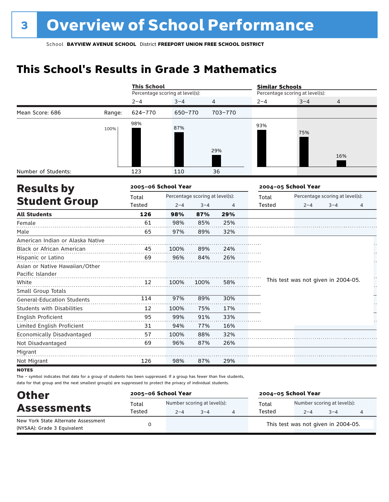### **This School's Results in Grade 3 Mathematics**

|                                                    |        | <b>This School</b>              |         |                                 |         | <b>Similar Schools</b> |                                     |                                 |   |  |
|----------------------------------------------------|--------|---------------------------------|---------|---------------------------------|---------|------------------------|-------------------------------------|---------------------------------|---|--|
|                                                    |        | Percentage scoring at level(s): |         |                                 |         |                        | Percentage scoring at level(s):     |                                 |   |  |
|                                                    |        | $2 - 4$                         | $3 - 4$ |                                 | 4       | $2 - 4$                | $3 - 4$                             | 4                               |   |  |
| Mean Score: 686                                    | Range: | 624-770                         | 650-770 |                                 | 703-770 |                        |                                     |                                 |   |  |
|                                                    | 100%   | 98%                             | 87%     |                                 | 29%     | 93%                    | 75%                                 | 16%                             |   |  |
| Number of Students:                                |        | 123                             | 110     |                                 | 36      |                        |                                     |                                 |   |  |
| <b>Results by</b>                                  |        | 2005-06 School Year             |         |                                 |         |                        | 2004-05 School Year                 |                                 |   |  |
|                                                    |        | Total                           |         | Percentage scoring at level(s): |         | Total                  |                                     | Percentage scoring at level(s): |   |  |
| <b>Student Group</b>                               |        | <b>Tested</b>                   | $2 - 4$ | $3 - 4$                         | 4       | Tested                 | $2 - 4$                             | $3 - 4$                         | 4 |  |
| <b>All Students</b>                                |        | 126                             | 98%     | 87%                             | 29%     |                        |                                     |                                 |   |  |
| Female                                             |        | 61                              | 98%     | 85%                             | 25%     |                        |                                     |                                 |   |  |
| Male                                               |        | 65                              | 97%     | 89%                             | 32%     |                        |                                     |                                 |   |  |
| American Indian or Alaska Native                   |        |                                 |         |                                 |         |                        |                                     |                                 |   |  |
| Black or African American                          |        | 45                              | 100%    | 89%                             | 24%     |                        |                                     |                                 |   |  |
| Hispanic or Latino                                 |        | 69                              | 96%     | 84%                             | 26%     |                        |                                     |                                 |   |  |
| Asian or Native Hawaiian/Other<br>Pacific Islander |        |                                 |         |                                 |         |                        |                                     |                                 |   |  |
| White                                              |        | 12                              | 100%    | 100%                            | 58%     |                        | This test was not given in 2004-05. |                                 |   |  |
| Small Group Totals                                 |        |                                 |         |                                 |         |                        |                                     |                                 |   |  |
| <b>General-Education Students</b>                  |        | 114                             | 97%     | 89%                             | 30%     |                        |                                     |                                 |   |  |
| <b>Students with Disabilities</b>                  |        | 12                              | 100%    | 75%                             | 17%     |                        |                                     |                                 |   |  |
| English Proficient                                 |        | 95                              | 99%     | 91%                             | 33%     |                        |                                     |                                 |   |  |
| Limited English Proficient                         |        | 31                              | 94%     | 77%                             | 16%     |                        |                                     |                                 |   |  |
| Economically Disadvantaged                         |        | 57                              | 100%    | 88%                             | 32%     |                        |                                     |                                 |   |  |
| Not Disadvantaged                                  |        | 69                              | 96%     | 87%                             | 26%     |                        |                                     |                                 |   |  |
| Migrant                                            |        |                                 |         |                                 |         |                        |                                     |                                 |   |  |
| Not Migrant                                        |        | 126                             | 98%     | 87%                             | 29%     |                        |                                     |                                 |   |  |

**NOTES** 

The – symbol indicates that data for a group of students has been suppressed. If a group has fewer than five students, data for that group and the next smallest group(s) are suppressed to protect the privacy of individual students.

| <b>Other</b>                                                       | 2005-06 School Year |         |                                        | 2004-05 School Year |                                        |         |  |  |
|--------------------------------------------------------------------|---------------------|---------|----------------------------------------|---------------------|----------------------------------------|---------|--|--|
| <b>Assessments</b>                                                 | Total<br>Tested     | $2 - 4$ | Number scoring at level(s):<br>$3 - 4$ | Total<br>Tested     | Number scoring at level(s):<br>$2 - 4$ | $3 - 4$ |  |  |
| New York State Alternate Assessment<br>(NYSAA): Grade 3 Equivalent |                     |         |                                        |                     | This test was not given in 2004-05.    |         |  |  |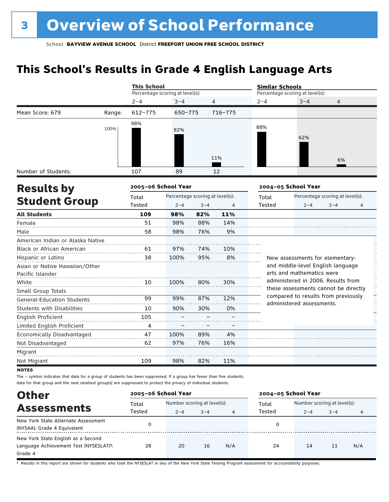### **This School's Results in Grade 4 English Language Arts**

|                                                    |        | <b>This School</b>              |                                 |         |                | <b>Similar Schools</b> |                                                                  |                                 |   |  |
|----------------------------------------------------|--------|---------------------------------|---------------------------------|---------|----------------|------------------------|------------------------------------------------------------------|---------------------------------|---|--|
|                                                    |        | Percentage scoring at level(s): |                                 |         |                |                        | Percentage scoring at level(s):                                  |                                 |   |  |
|                                                    |        | $2 - 4$                         | $3 - 4$                         |         | $\overline{4}$ | $2 - 4$                | $3 - 4$                                                          | 4                               |   |  |
| Mean Score: 679                                    | Range: | $612 - 775$                     | 650-775                         |         | 716-775        |                        |                                                                  |                                 |   |  |
|                                                    | 100%   | 98%                             | 82%                             |         |                | 88%                    | 62%                                                              |                                 |   |  |
|                                                    |        |                                 |                                 |         | 11%            |                        |                                                                  | 6%                              |   |  |
| Number of Students:                                |        | 107                             | 89                              |         | 12             |                        |                                                                  |                                 |   |  |
| <b>Results by</b>                                  |        | 2005-06 School Year             |                                 |         |                |                        | 2004-05 School Year                                              |                                 |   |  |
|                                                    |        | Total                           | Percentage scoring at level(s): |         |                | Total                  |                                                                  | Percentage scoring at level(s): |   |  |
| <b>Student Group</b>                               |        | Tested                          | $2 - 4$                         | $3 - 4$ | 4              | <b>Tested</b>          | $2 - 4$                                                          | $3 - 4$                         | 4 |  |
| <b>All Students</b>                                |        | 109                             | 98%                             | 82%     | 11%            |                        |                                                                  |                                 |   |  |
| Female                                             |        | 51                              | 98%                             | 88%     | 14%            |                        |                                                                  |                                 |   |  |
| Male                                               |        | 58                              | 98%                             | 76%     | 9%             |                        |                                                                  |                                 |   |  |
| American Indian or Alaska Native                   |        |                                 |                                 |         |                |                        |                                                                  |                                 |   |  |
| Black or African American                          |        | 61                              | 97%                             | 74%     | 10%            |                        |                                                                  |                                 |   |  |
| Hispanic or Latino                                 |        | 38                              | 100%                            | 95%     | 8%             |                        | New assessments for elementary-                                  |                                 |   |  |
| Asian or Native Hawaiian/Other<br>Pacific Islander |        |                                 |                                 |         |                |                        | and middle-level English language<br>arts and mathematics were   |                                 |   |  |
| White                                              |        | 10                              | 100%                            | 80%     | 30%            |                        | administered in 2006. Results from                               |                                 |   |  |
| Small Group Totals                                 |        |                                 |                                 |         |                |                        | these assessments cannot be directly                             |                                 |   |  |
| <b>General-Education Students</b>                  |        | 99                              | 99%                             | 87%     | 12%            |                        | compared to results from previously<br>administered assessments. |                                 |   |  |
| <b>Students with Disabilities</b>                  |        | 10                              | 90%                             | 30%     | 0%             |                        |                                                                  |                                 |   |  |
| <b>English Proficient</b>                          |        | 105                             |                                 |         |                |                        |                                                                  |                                 |   |  |
| Limited English Proficient                         |        | 4                               |                                 |         |                |                        |                                                                  |                                 |   |  |
| Economically Disadvantaged                         |        | 47                              | 100%                            | 89%     | 4%             |                        |                                                                  |                                 |   |  |
| Not Disadvantaged                                  |        | 62                              | 97%                             | 76%     | 16%            |                        |                                                                  |                                 |   |  |
| Migrant                                            |        |                                 |                                 |         |                |                        |                                                                  |                                 |   |  |
| Not Migrant                                        |        | 109                             | 98%                             | 82%     | 11%            |                        |                                                                  |                                 |   |  |

**NOTES** 

The – symbol indicates that data for a group of students has been suppressed. If a group has fewer than five students, data for that group and the next smallest group(s) are suppressed to protect the privacy of individual students.

| <b>Other</b>                                                                            | 2005-06 School Year |                                                        |    |     | 2004-05 School Year |                                        |         |     |
|-----------------------------------------------------------------------------------------|---------------------|--------------------------------------------------------|----|-----|---------------------|----------------------------------------|---------|-----|
| <b>Assessments</b>                                                                      | Total<br>Tested     | Number scoring at level(s):<br>$3 - 4$<br>$2 - 4$<br>4 |    |     | Total<br>Tested     | Number scoring at level(s):<br>$2 - 4$ | $3 - 4$ | 4   |
| New York State Alternate Assessment<br>(NYSAA): Grade 4 Equivalent                      | 0                   |                                                        |    |     | 0                   |                                        |         |     |
| New York State English as a Second<br>Language Achievement Test (NYSESLAT)t:<br>Grade 4 | 28                  | 20                                                     | 16 | N/A | 24                  | 14                                     | 11      | N/A |

† Results in this report are shown for students who took the NYSESLAT in lieu of the New York State Testing Program assessment for accountability purposes.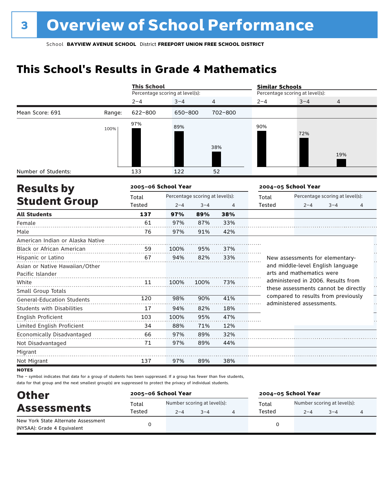### **This School's Results in Grade 4 Mathematics**

|                                   |        | <b>This School</b>              |         |                                 |         | <b>Similar Schools</b> |                                                                             |                                 |    |
|-----------------------------------|--------|---------------------------------|---------|---------------------------------|---------|------------------------|-----------------------------------------------------------------------------|---------------------------------|----|
|                                   |        | Percentage scoring at level(s): |         |                                 |         |                        | Percentage scoring at level(s):                                             |                                 |    |
|                                   |        | $2 - 4$                         | $3 - 4$ |                                 | 4       | 2-4                    | $3 - 4$                                                                     | 4                               |    |
| Mean Score: 691                   | Range: | $622 - 800$                     | 650-800 |                                 | 702-800 |                        |                                                                             |                                 |    |
|                                   | 100%   | 97%                             | 89%     |                                 |         | 90%                    |                                                                             |                                 |    |
|                                   |        |                                 |         |                                 | 38%     |                        | 72%                                                                         | 19%                             |    |
| Number of Students:               |        | 133                             | 122     |                                 | 52      |                        |                                                                             |                                 |    |
| <b>Results by</b>                 |        | 2005-06 School Year             |         |                                 |         |                        | 2004-05 School Year                                                         |                                 |    |
|                                   |        | Total                           |         | Percentage scoring at level(s): |         | Total                  |                                                                             | Percentage scoring at level(s): |    |
| <b>Student Group</b>              |        | Tested                          | $2 - 4$ | $3 - 4$                         | 4       | Tested                 | $2 - 4$                                                                     | $3 - 4$                         | 4  |
| <b>All Students</b>               |        | 137                             | 97%     | 89%                             | 38%     |                        |                                                                             |                                 |    |
| Female                            |        | 61                              | 97%     | 87%                             | 33%     |                        |                                                                             |                                 |    |
| Male                              |        | 76                              | 97%     | 91%                             | 42%     |                        |                                                                             |                                 |    |
| American Indian or Alaska Native  |        |                                 |         |                                 |         |                        |                                                                             |                                 |    |
| <b>Black or African American</b>  |        | 59                              | 100%    | 95%                             | 37%     |                        |                                                                             |                                 |    |
| Hispanic or Latino                |        | 67                              | 94%     | 82%                             | 33%     |                        | New assessments for elementary-                                             |                                 |    |
| Asian or Native Hawaiian/Other    |        |                                 |         |                                 |         |                        | and middle-level English language                                           |                                 |    |
| Pacific Islander                  |        |                                 |         |                                 |         |                        | arts and mathematics were                                                   |                                 |    |
| White                             |        | 11                              | 100%    | 100%                            | 73%     |                        | administered in 2006. Results from                                          |                                 | ŕ, |
| Small Group Totals                |        |                                 |         |                                 |         |                        | these assessments cannot be directly<br>compared to results from previously |                                 |    |
| <b>General-Education Students</b> |        | 120                             | 98%     | 90%                             | 41%     |                        | administered assessments.                                                   |                                 |    |
| Students with Disabilities        |        | 17                              | 94%     | 82%                             | 18%     |                        |                                                                             |                                 |    |
| English Proficient                |        | 103                             | 100%    | 95%                             | 47%     |                        |                                                                             |                                 |    |
| Limited English Proficient        |        | 34                              | 88%     | 71%                             | 12%     |                        |                                                                             |                                 |    |
| Economically Disadvantaged        |        | 66                              | 97%     | 89%                             | 32%     |                        |                                                                             |                                 |    |
| Not Disadvantaged                 |        | 71                              | 97%     | 89%                             | 44%     |                        |                                                                             |                                 |    |
| Migrant                           |        |                                 |         |                                 |         |                        |                                                                             |                                 |    |
| Not Migrant                       |        | 137                             | 97%     | 89%                             | 38%     |                        |                                                                             |                                 |    |

**NOTES** 

The – symbol indicates that data for a group of students has been suppressed. If a group has fewer than five students, data for that group and the next smallest group(s) are suppressed to protect the privacy of individual students.

| <b>Other</b>                                                       | 2005-06 School Year |         |                                        | 2004-05 School Year |                                        |         |  |
|--------------------------------------------------------------------|---------------------|---------|----------------------------------------|---------------------|----------------------------------------|---------|--|
| <b>Assessments</b>                                                 | Total<br>Tested     | $2 - 4$ | Number scoring at level(s):<br>$3 - 4$ | Total<br>Tested     | Number scoring at level(s):<br>$2 - 4$ | $3 - 4$ |  |
| New York State Alternate Assessment<br>(NYSAA): Grade 4 Equivalent |                     |         |                                        |                     |                                        |         |  |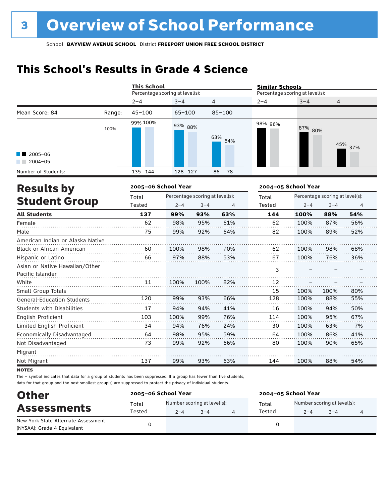### **This School's Results in Grade 4 Science**

|                                                    |        | <b>This School</b>                       |            |         |                                 | <b>Similar Schools</b> |                                 |         |         |
|----------------------------------------------------|--------|------------------------------------------|------------|---------|---------------------------------|------------------------|---------------------------------|---------|---------|
|                                                    |        | Percentage scoring at level(s):          |            |         | Percentage scoring at level(s): |                        |                                 |         |         |
|                                                    |        | $2 - 4$                                  | $3 - 4$    |         | 4                               | $2 - 4$                | $3 - 4$                         | 4       |         |
| Mean Score: 84                                     | Range: | $45 - 100$                               | $65 - 100$ |         | $85 - 100$                      |                        |                                 |         |         |
|                                                    | 100%   | 99% 100%                                 | 93% 88%    |         | 63%<br>54%                      | 98% 96%                | 87% 80%                         |         | 45% 37% |
| $2005 - 06$<br>$2004 - 05$                         |        |                                          |            |         |                                 |                        |                                 |         |         |
| Number of Students:                                |        | 135 144                                  | 128 127    |         | 78<br>86                        |                        |                                 |         |         |
| <b>Results by</b>                                  |        | 2005-06 School Year                      |            |         |                                 | 2004-05 School Year    |                                 |         |         |
|                                                    |        | Percentage scoring at level(s):<br>Total |            |         | Total                           |                        | Percentage scoring at level(s): |         |         |
| <b>Student Group</b>                               |        | Tested                                   | $2 - 4$    | $3 - 4$ | 4                               | Tested                 | $2 - 4$                         | $3 - 4$ | 4       |
| <b>All Students</b>                                |        | 137                                      | 99%        | 93%     | 63%                             | 144                    | 100%                            | 88%     | 54%     |
| Female                                             |        | 62                                       | 98%        | 95%     | 61%                             | 62                     | 100%                            | 87%     | 56%     |
| Male                                               |        | 75                                       | 99%        | 92%     | 64%                             | 82                     | 100%                            | 89%     | 52%     |
| American Indian or Alaska Native                   |        |                                          |            |         |                                 |                        |                                 |         |         |
| <b>Black or African American</b>                   |        | 60                                       | 100%       | 98%     | 70%                             | 62                     | 100%                            | 98%     | 68%     |
| Hispanic or Latino                                 |        | 66                                       | 97%        | 88%     | 53%                             | 67                     | 100%                            | 76%     | 36%     |
| Asian or Native Hawaiian/Other<br>Pacific Islander |        |                                          |            |         |                                 | 3                      |                                 |         |         |
| White                                              |        | 11                                       | 100%       | 100%    | 82%                             | 12                     |                                 |         |         |
| Small Group Totals                                 |        |                                          |            |         |                                 | 15                     | 100%                            | 100%    | 80%     |
| <b>General-Education Students</b>                  |        | 120                                      | 99%        | 93%     | 66%                             | 128                    | 100%                            | 88%     | 55%     |
| <b>Students with Disabilities</b>                  |        | 17                                       | 94%        | 94%     | 41%                             | 16                     | 100%                            | 94%     | 50%     |
| <b>English Proficient</b>                          |        | 103                                      | 100%       | 99%     | 76%                             | 114                    | 100%                            | 95%     | 67%     |
| Limited English Proficient                         |        | 34                                       | 94%        | 76%     | 24%                             | 30                     | 100%                            | 63%     | 7%      |
| Economically Disadvantaged                         |        | 64                                       | 98%        | 95%     | 59%                             | 64                     | 100%                            | 86%     | 41%     |
| Not Disadvantaged                                  |        | 73                                       | 99%        | 92%     | 66%                             | 80                     | 100%                            | 90%     | 65%     |
| Migrant                                            |        |                                          |            |         |                                 |                        |                                 |         |         |
| Not Migrant                                        |        | 137                                      | 99%        | 93%     | 63%                             | 144                    | 100%                            | 88%     | 54%     |

**NOTES** 

The – symbol indicates that data for a group of students has been suppressed. If a group has fewer than five students, data for that group and the next smallest group(s) are suppressed to protect the privacy of individual students.

| <b>Other</b>                        | 2005-06 School Year |                                        |         |  | 2004-05 School Year |                                        |         |  |
|-------------------------------------|---------------------|----------------------------------------|---------|--|---------------------|----------------------------------------|---------|--|
| <b>Assessments</b>                  | Total<br>Tested     | Number scoring at level(s):<br>$2 - 4$ | $3 - 4$ |  | Total<br>Tested     | Number scoring at level(s):<br>$2 - 4$ | $3 - 4$ |  |
| New York State Alternate Assessment |                     |                                        |         |  |                     |                                        |         |  |
| (NYSAA): Grade 4 Equivalent         |                     |                                        |         |  |                     |                                        |         |  |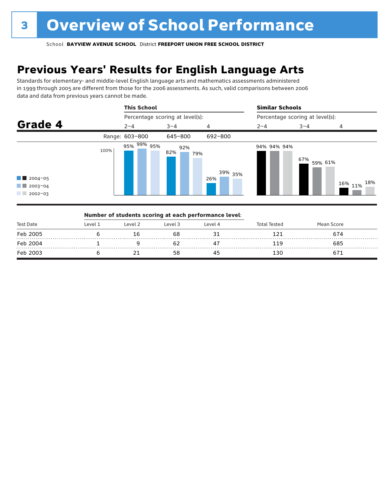### **Previous Years' Results for English Language Arts**

Standards for elementary- and middle-level English language arts and mathematics assessments administered in 1999 through 2005 are different from those for the 2006 assessments. As such, valid comparisons between 2006 data and data from previous years cannot be made.



| Test Date |         |         | Number of students scoring at each performance level: |         |              |            |  |
|-----------|---------|---------|-------------------------------------------------------|---------|--------------|------------|--|
|           | Level 1 | Level 2 | Level 3                                               | Level 4 | Total Tested | Mean Score |  |
| Feb 2005  |         |         | 68                                                    |         |              | 674        |  |
| Feb 2004  |         |         |                                                       |         | 119          | 685        |  |
| Feb 2003  |         |         | 58                                                    |         | 130          |            |  |